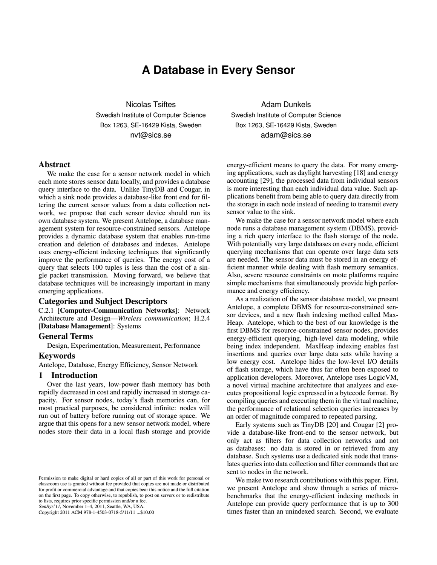# **A Database in Every Sensor**

Nicolas Tsiftes Swedish Institute of Computer Science Box 1263, SE-16429 Kista, Sweden nvt@sics.se

# Abstract

We make the case for a sensor network model in which each mote stores sensor data locally, and provides a database query interface to the data. Unlike TinyDB and Cougar, in which a sink node provides a database-like front end for filtering the current sensor values from a data collection network, we propose that each sensor device should run its own database system. We present Antelope, a database management system for resource-constrained sensors. Antelope provides a dynamic database system that enables run-time creation and deletion of databases and indexes. Antelope uses energy-efficient indexing techniques that significantly improve the performance of queries. The energy cost of a query that selects 100 tuples is less than the cost of a single packet transmission. Moving forward, we believe that database techniques will be increasingly important in many emerging applications.

# Categories and Subject Descriptors

C.2.1 [Computer-Communication Networks]: Network Architecture and Design—*Wireless communication*; H.2.4 [Database Management]: Systems

# General Terms

Design, Experimentation, Measurement, Performance

### Keywords

Antelope, Database, Energy Efficiency, Sensor Network

# 1 Introduction

Over the last years, low-power flash memory has both rapidly decreased in cost and rapidly increased in storage capacity. For sensor nodes, today's flash memories can, for most practical purposes, be considered infinite: nodes will run out of battery before running out of storage space. We argue that this opens for a new sensor network model, where nodes store their data in a local flash storage and provide

SenSys'11, November 1–4, 2011, Seattle, WA, USA.

Copyright 2011 ACM 978-1-4503-0718-5/11/11 ...\$10.00

Adam Dunkels Swedish Institute of Computer Science Box 1263, SE-16429 Kista, Sweden adam@sics.se

energy-efficient means to query the data. For many emerging applications, such as daylight harvesting [\[18\]](#page-13-0) and energy accounting [\[29\]](#page-13-1), the processed data from individual sensors is more interesting than each individual data value. Such applications benefit from being able to query data directly from the storage in each node instead of needing to transmit every sensor value to the sink.

We make the case for a sensor network model where each node runs a database management system (DBMS), providing a rich query interface to the flash storage of the node. With potentially very large databases on every node, efficient querying mechanisms that can operate over large data sets are needed. The sensor data must be stored in an energy efficient manner while dealing with flash memory semantics. Also, severe resource constraints on mote platforms require simple mechanisms that simultaneously provide high performance and energy efficiency.

As a realization of the sensor database model, we present Antelope, a complete DBMS for resource-constrained sensor devices, and a new flash indexing method called Max-Heap. Antelope, which to the best of our knowledge is the first DBMS for resource-constrained sensor nodes, provides energy-efficient querying, high-level data modeling, while being index independent. MaxHeap indexing enables fast insertions and queries over large data sets while having a low energy cost. Antelope hides the low-level I/O details of flash storage, which have thus far often been exposed to application developers. Moreover, Antelope uses LogicVM, a novel virtual machine architecture that analyzes and executes propositional logic expressed in a bytecode format. By compiling queries and executing them in the virtual machine, the performance of relational selection queries increases by an order of magnitude compared to repeated parsing.

Early systems such as TinyDB [\[20\]](#page-13-2) and Cougar [\[2\]](#page-13-3) provide a database-like front-end to the sensor network, but only act as filters for data collection networks and not as databases: no data is stored in or retrieved from any database. Such systems use a dedicated sink node that translates queries into data collection and filter commands that are sent to nodes in the network.

We make two research contributions with this paper. First, we present Antelope and show through a series of microbenchmarks that the energy-efficient indexing methods in Antelope can provide query performance that is up to 300 times faster than an unindexed search. Second, we evaluate

Permission to make digital or hard copies of all or part of this work for personal or classroom use is granted without fee provided that copies are not made or distributed for profit or commercial advantage and that copies bear this notice and the full citation on the first page. To copy otherwise, to republish, to post on servers or to redistribute to lists, requires prior specific permission and/or a fee.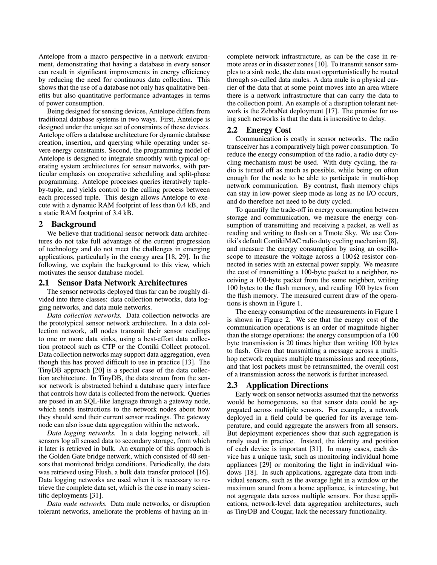Antelope from a macro perspective in a network environment, demonstrating that having a database in every sensor can result in significant improvements in energy efficiency by reducing the need for continuous data collection. This shows that the use of a database not only has qualitative benefits but also quantitative performance advantages in terms of power consumption.

Being designed for sensing devices, Antelope differs from traditional database systems in two ways. First, Antelope is designed under the unique set of constraints of these devices. Antelope offers a database architecture for dynamic database creation, insertion, and querying while operating under severe energy constraints. Second, the programming model of Antelope is designed to integrate smoothly with typical operating system architectures for sensor networks, with particular emphasis on cooperative scheduling and split-phase programming. Antelope processes queries iteratively tupleby-tuple, and yields control to the calling process between each processed tuple. This design allows Antelope to execute with a dynamic RAM footprint of less than 0.4 kB, and a static RAM footprint of 3.4 kB.

# 2 Background

We believe that traditional sensor network data architectures do not take full advantage of the current progression of technology and do not meet the challenges in emerging applications, particularly in the energy area [\[18,](#page-13-0) [29\]](#page-13-1). In the following, we explain the background to this view, which motivates the sensor database model.

# 2.1 Sensor Data Network Architectures

The sensor networks deployed thus far can be roughly divided into three classes: data collection networks, data logging networks, and data mule networks.

*Data collection networks.* Data collection networks are the prototypical sensor network architecture. In a data collection network, all nodes transmit their sensor readings to one or more data sinks, using a best-effort data collection protocol such as CTP or the Contiki Collect protocol. Data collection networks may support data aggregation, even though this has proved difficult to use in practice [\[13\]](#page-13-4). The TinyDB approach [\[20\]](#page-13-2) is a special case of the data collection architecture. In TinyDB, the data stream from the sensor network is abstracted behind a database query interface that controls how data is collected from the network. Queries are posed in an SQL-like language through a gateway node, which sends instructions to the network nodes about how they should send their current sensor readings. The gateway node can also issue data aggregation within the network.

*Data logging networks.* In a data logging network, all sensors log all sensed data to secondary storage, from which it later is retrieved in bulk. An example of this approach is the Golden Gate bridge network, which consisted of 40 sensors that monitored bridge conditions. Periodically, the data was retrieved using Flush, a bulk data transfer protocol [\[16\]](#page-13-5). Data logging networks are used when it is necessary to retrieve the complete data set, which is the case in many scientific deployments [\[31\]](#page-13-6).

*Data mule networks.* Data mule networks, or disruption tolerant networks, ameliorate the problems of having an in-

complete network infrastructure, as can be the case in remote areas or in disaster zones [\[10\]](#page-13-7). To transmit sensor samples to a sink node, the data must opportunistically be routed through so-called data mules. A data mule is a physical carrier of the data that at some point moves into an area where there is a network infrastructure that can carry the data to the collection point. An example of a disruption tolerant network is the ZebraNet deployment [\[17\]](#page-13-8). The premise for using such networks is that the data is insensitive to delay.

# 2.2 Energy Cost

Communication is costly in sensor networks. The radio transceiver has a comparatively high power consumption. To reduce the energy consumption of the radio, a radio duty cycling mechanism must be used. With duty cycling, the radio is turned off as much as possible, while being on often enough for the node to be able to participate in multi-hop network communication. By contrast, flash memory chips can stay in low-power sleep mode as long as no I/O occurs, and do therefore not need to be duty cycled.

To quantify the trade-off in energy consumption between storage and communication, we measure the energy consumption of transmitting and receiving a packet, as well as reading and writing to flash on a Tmote Sky. We use Contiki's default ContikiMAC radio duty cycling mechanism [\[8\]](#page-13-9), and measure the energy consumption by using an oscilloscope to measure the voltage across a  $100 \Omega$  resistor connected in series with an external power supply. We measure the cost of transmitting a 100-byte packet to a neighbor, receiving a 100-byte packet from the same neighbor, writing 100 bytes to the flash memory, and reading 100 bytes from the flash memory. The measured current draw of the operations is shown in Figure [1.](#page-2-0)

The energy consumption of the measurements in Figure [1](#page-2-0) is shown in Figure [2.](#page-2-1) We see that the energy cost of the communication operations is an order of magnitude higher than the storage operations: the energy consumption of a 100 byte transmission is 20 times higher than writing 100 bytes to flash. Given that transmitting a message across a multihop network requires multiple transmissions and receptions, and that lost packets must be retransmitted, the overall cost of a transmission across the network is further increased.

### 2.3 Application Directions

Early work on sensor networks assumed that the networks would be homogeneous, so that sensor data could be aggregated across multiple sensors. For example, a network deployed in a field could be queried for its average temperature, and could aggregate the answers from all sensors. But deployment experiences show that such aggregation is rarely used in practice. Instead, the identity and position of each device is important [\[31\]](#page-13-6). In many cases, each device has a unique task, such as monitoring individual home appliances [\[29\]](#page-13-1) or monitoring the light in individual windows [\[18\]](#page-13-0). In such applications, aggregate data from individual sensors, such as the average light in a window or the maximum sound from a home appliance, is interesting, but not aggregate data across multiple sensors. For these applications, network-level data aggregation architectures, such as TinyDB and Cougar, lack the necessary functionality.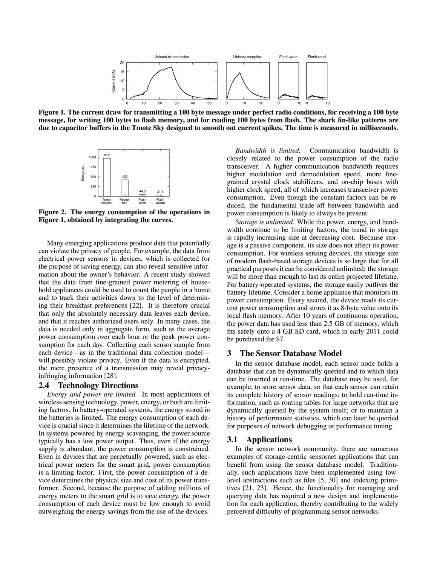

<span id="page-2-0"></span>Figure 1. The current draw for transmitting a 100 byte message under perfect radio conditions, for receiving a 100 byte message, for writing 100 bytes to flash memory, and for reading 100 bytes from flash. The shark fin-like patterns are due to capacitor buffers in the Tmote Sky designed to smooth out current spikes. The time is measured in milliseconds.



<span id="page-2-1"></span>Figure 2. The energy consumption of the operations in Figure [1,](#page-2-0) obtained by integrating the curves.

Many emerging applications produce data that potentially can violate the privacy of people. For example, the data from electrical power sensors in devices, which is collected for the purpose of saving energy, can also reveal sensitive information about the owner's behavior. A recent study showed that the data from fine-grained power metering of household appliances could be used to count the people in a home and to track their activities down to the level of determining their breakfast preferences [\[22\]](#page-13-10). It is therefore crucial that only the absolutely necessary data leaves each device, and that it reaches authorized users only. In many cases, the data is needed only in aggregate form, such as the average power consumption over each hour or the peak power consumption for each day. Collecting each sensor sample from each device—as in the traditional data collection model will possibly violate privacy. Even if the data is encrypted, the mere presence of a transmission may reveal privacyinfringing information [\[28\]](#page-13-11).

# 2.4 Technology Directions

*Energy and power are limited.* In most applications of wireless sensing technology, power, energy, or both are limiting factors. In battery-operated systems, the energy stored in the batteries is limited. The energy consumption of each device is crucial since it determines the lifetime of the network. In systems powered by energy scavenging, the power source typically has a low power output. Thus, even if the energy supply is abundant, the power consumption is constrained. Even in devices that are perpetually powered, such as electrical power meters for the smart grid, power consumption is a limiting factor. First, the power consumption of a device determines the physical size and cost of its power transformer. Second, because the purpose of adding millions of energy meters to the smart grid is to save energy, the power consumption of each device must be low enough to avoid outweighing the energy savings from the use of the devices.

*Bandwidth is limited.* Communication bandwidth is closely related to the power consumption of the radio transceiver. A higher communication bandwidth requires higher modulation and demodulation speed, more finegrained crystal clock stabilizers, and on-chip buses with higher clock speed, all of which increases transceiver power consumption. Even though the constant factors can be reduced, the fundamental trade-off between bandwidth and power consumption is likely to always be present.

*Storage is unlimited.* While the power, energy, and bandwidth continue to be limiting factors, the trend in storage is rapidly increasing size at decreasing cost. Because storage is a passive component, its size does not affect its power consumption. For wireless sensing devices, the storage size of modern flash-based storage devices is so large that for all practical purposes it can be considered unlimited: the storage will be more than enough to last its entire projected lifetime. For battery-operated systems, the storage easily outlives the battery lifetime. Consider a home appliance that monitors its power consumption. Every second, the device reads its current power consumption and stores it as 8-byte value onto its local flash memory. After 10 years of continuous operation, the power data has used less than 2.5 GB of memory, which fits safely onto a 4 GB SD card, which in early 2011 could be purchased for \$7.

# 3 The Sensor Database Model

In the sensor database model, each sensor node holds a database that can be dynamically queried and to which data can be inserted at run-time. The database may be used, for example, to store sensor data, so that each sensor can retain its complete history of sensor readings; to hold run-time information, such as routing tables for large networks that are dynamically queried by the system itself; or to maintain a history of performance statistics, which can later be queried for purposes of network debugging or performance tuning.

# 3.1 Applications

In the sensor network community, there are numerous examples of storage-centric sensornet applications that can benefit from using the sensor database model. Traditionally, such applications have been implemented using lowlevel abstractions such as files [\[5,](#page-13-12) [30\]](#page-13-13) and indexing primitives [\[21,](#page-13-14) [23\]](#page-13-15). Hence, the functionality for managing and querying data has required a new design and implementation for each application, thereby contributing to the widely perceived difficulty of programming sensor networks.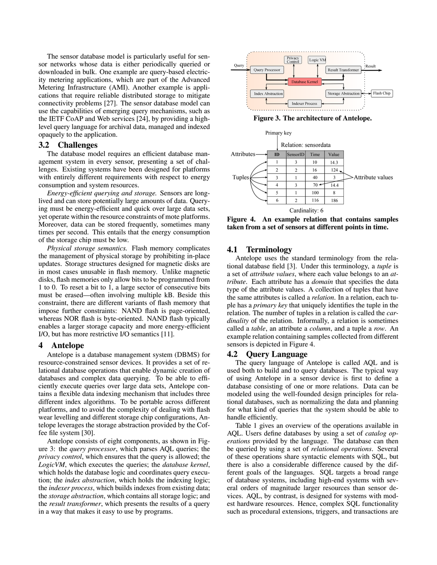The sensor database model is particularly useful for sensor networks whose data is either periodically queried or downloaded in bulk. One example are query-based electricity metering applications, which are part of the Advanced Metering Infrastructure (AMI). Another example is applications that require reliable distributed storage to mitigate connectivity problems [\[27\]](#page-13-16). The sensor database model can use the capabilities of emerging query mechanisms, such as the IETF CoAP and Web services [\[24\]](#page-13-17), by providing a highlevel query language for archival data, managed and indexed opaquely to the application.

# 3.2 Challenges

The database model requires an efficient database management system in every sensor, presenting a set of challenges. Existing systems have been designed for platforms with entirely different requirements with respect to energy consumption and system resources.

*Energy-efficient querying and storage.* Sensors are longlived and can store potentially large amounts of data. Querying must be energy-efficient and quick over large data sets, yet operate within the resource constraints of mote platforms. Moreover, data can be stored frequently, sometimes many times per second. This entails that the energy consumption of the storage chip must be low.

*Physical storage semantics.* Flash memory complicates the management of physical storage by prohibiting in-place updates. Storage structures designed for magnetic disks are in most cases unusable in flash memory. Unlike magnetic disks, flash memories only allow bits to be programmed from 1 to 0. To reset a bit to 1, a large sector of consecutive bits must be erased—often involving multiple kB. Beside this constraint, there are different variants of flash memory that impose further constraints: NAND flash is page-oriented, whereas NOR flash is byte-oriented. NAND flash typically enables a larger storage capacity and more energy-efficient I/O, but has more restrictive I/O semantics [\[11\]](#page-13-18).

### 4 Antelope

Antelope is a database management system (DBMS) for resource-constrained sensor devices. It provides a set of relational database operations that enable dynamic creation of databases and complex data querying. To be able to efficiently execute queries over large data sets, Antelope contains a flexible data indexing mechanism that includes three different index algorithms. To be portable across different platforms, and to avoid the complexity of dealing with flash wear levelling and different storage chip configurations, Antelope leverages the storage abstraction provided by the Coffee file system [\[30\]](#page-13-13).

Antelope consists of eight components, as shown in Figure [3:](#page-3-0) the *query processor*, which parses AQL queries; the *privacy control*, which ensures that the query is allowed; the *LogicVM*, which executes the queries; the *database kernel*, which holds the database logic and coordinates query execution; the *index abstraction*, which holds the indexing logic; the *indexer process*, which builds indexes from existing data; the *storage abstraction*, which contains all storage logic; and the *result transformer*, which presents the results of a query in a way that makes it easy to use by programs.



<span id="page-3-0"></span>

<span id="page-3-1"></span>Figure 4. An example relation that contains samples taken from a set of sensors at different points in time.

### 4.1 Terminology

Antelope uses the standard terminology from the relational database field [\[3\]](#page-13-19). Under this terminology, a *tuple* is a set of *attribute values*, where each value belongs to an *attribute*. Each attribute has a *domain* that specifies the data type of the attribute values. A collection of tuples that have the same attributes is called a *relation*. In a relation, each tuple has a *primary key* that uniquely identifies the tuple in the relation. The number of tuples in a relation is called the *cardinality* of the relation. Informally, a relation is sometimes called a *table*, an attribute a *column*, and a tuple a *row*. An example relation containing samples collected from different sensors is depicted in Figure [4.](#page-3-1)

# 4.2 Query Language

The query language of Antelope is called AQL and is used both to build and to query databases. The typical way of using Antelope in a sensor device is first to define a database consisting of one or more relations. Data can be modeled using the well-founded design principles for relational databases, such as normalizing the data and planning for what kind of queries that the system should be able to handle efficiently.

Table [1](#page-4-0) gives an overview of the operations available in AQL. Users define databases by using a set of *catalog operations* provided by the language. The database can then be queried by using a set of *relational operations*. Several of these operations share syntactic elements with SQL, but there is also a considerable difference caused by the different goals of the languages. SQL targets a broad range of database systems, including high-end systems with several orders of magnitude larger resources than sensor devices. AQL, by contrast, is designed for systems with modest hardware resources. Hence, complex SQL functionality such as procedural extensions, triggers, and transactions are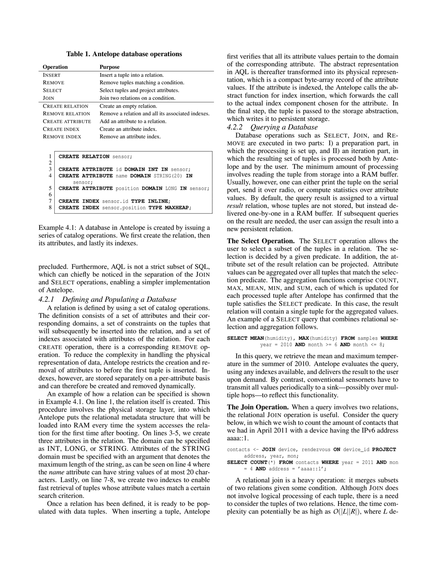| <b>Table 1. Antelope database operations</b> |  |  |
|----------------------------------------------|--|--|
|----------------------------------------------|--|--|

<span id="page-4-0"></span>

| Operation               | <b>Purpose</b>                                    |
|-------------------------|---------------------------------------------------|
| <b>INSERT</b>           | Insert a tuple into a relation.                   |
| <b>REMOVE</b>           | Remove tuples matching a condition.               |
| <b>SELECT</b>           | Select tuples and project attributes.             |
| JOIN                    | Join two relations on a condition.                |
| <b>CREATE RELATION</b>  | Create an empty relation.                         |
| <b>REMOVE RELATION</b>  | Remove a relation and all its associated indexes. |
| <b>CREATE ATTRIBUTE</b> | Add an attribute to a relation.                   |
| <b>CREATE INDEX</b>     | Create an attribute index.                        |
| <b>REMOVE INDEX</b>     | Remove an attribute index.                        |

```
1 CREATE RELATION sensor;
\frac{2}{3}3 CREATE ATTRIBUTE id DOMAIN INT IN sensor;
   4 CREATE ATTRIBUTE name DOMAIN STRING(20) IN
        sensor;
5 CREATE ATTRIBUTE position DOMAIN LONG IN sensor;
6
7 CREATE INDEX sensor.id TYPE INLINE;
   8 CREATE INDEX sensor.position TYPE MAXHEAP;
```
<span id="page-4-1"></span>Example 4.1: A database in Antelope is created by issuing a series of catalog operations. We first create the relation, then its attributes, and lastly its indexes.

precluded. Furthermore, AQL is not a strict subset of SQL, which can chiefly be noticed in the separation of the JOIN and SELECT operations, enabling a simpler implementation of Antelope.

### *4.2.1 Defining and Populating a Database*

A relation is defined by using a set of catalog operations. The definition consists of a set of attributes and their corresponding domains, a set of constraints on the tuples that will subsequently be inserted into the relation, and a set of indexes associated with attributes of the relation. For each CREATE operation, there is a corresponding REMOVE operation. To reduce the complexity in handling the physical representation of data, Antelope restricts the creation and removal of attributes to before the first tuple is inserted. Indexes, however, are stored separately on a per-attribute basis and can therefore be created and removed dynamically.

An example of how a relation can be specified is shown in Example [4.1.](#page-4-1) On line 1, the relation itself is created. This procedure involves the physical storage layer, into which Antelope puts the relational metadata structure that will be loaded into RAM every time the system accesses the relation for the first time after booting. On lines 3-5, we create three attributes in the relation. The domain can be specified as INT, LONG, or STRING. Attributes of the STRING domain must be specified with an argument that denotes the maximum length of the string, as can be seen on line 4 where the *name* attribute can have string values of at most 20 characters. Lastly, on line 7-8, we create two indexes to enable fast retrieval of tuples whose attribute values match a certain search criterion.

Once a relation has been defined, it is ready to be populated with data tuples. When inserting a tuple, Antelope first verifies that all its attribute values pertain to the domain of the corresponding attribute. The abstract representation in AQL is thereafter transformed into its physical representation, which is a compact byte-array record of the attribute values. If the attribute is indexed, the Antelope calls the abstract function for index insertion, which forwards the call to the actual index component chosen for the attribute. In the final step, the tuple is passed to the storage abstraction, which writes it to persistent storage.

### *4.2.2 Querying a Database*

Database operations such as SELECT, JOIN, and RE-MOVE are executed in two parts: I) a preparation part, in which the processing is set up, and II) an iteration part, in which the resulting set of tuples is processed both by Antelope and by the user. The minimum amount of processing involves reading the tuple from storage into a RAM buffer. Usually, however, one can either print the tuple on the serial port, send it over radio, or compute statistics over attribute values. By default, the query result is assigned to a virtual *result* relation, whose tuples are not stored, but instead delivered one-by-one in a RAM buffer. If subsequent queries on the result are needed, the user can assign the result into a new persistent relation.

The Select Operation. The SELECT operation allows the user to select a subset of the tuples in a relation. The selection is decided by a given predicate. In addition, the attribute set of the result relation can be projected. Attribute values can be aggregated over all tuples that match the selection predicate. The aggregation functions comprise COUNT, MAX, MEAN, MIN, and SUM, each of which is updated for each processed tuple after Antelope has confirmed that the tuple satisfies the SELECT predicate. In this case, the result relation will contain a single tuple for the aggregated values. An example of a SELECT query that combines relational selection and aggregation follows.

#### **SELECT MEAN**(humidity), **MAX**(humidity) **FROM** samples **WHERE** year = 2010 **AND** month >= 6 **AND** month <= 8;

In this query, we retrieve the mean and maximum temperature in the summer of 2010. Antelope evaluates the query, using any indexes available, and delivers the result to the user upon demand. By contrast, conventional sensornets have to transmit all values periodically to a sink—possibly over multiple hops—to reflect this functionality.

The Join Operation. When a query involves two relations, the relational JOIN operation is useful. Consider the query below, in which we wish to count the amount of contacts that we had in April 2011 with a device having the IPv6 address aaaa::1.

| contacts <- JOIN device, rendezvous ON device id PROJECT          |  |                     |                                |  |  |  |
|-------------------------------------------------------------------|--|---------------------|--------------------------------|--|--|--|
|                                                                   |  | address, year, mon; |                                |  |  |  |
| <b>SELECT COUNT</b> $(*)$ FROM contacts WHERE year = 2011 AND mon |  |                     |                                |  |  |  |
|                                                                   |  |                     | $= 4$ AND address = 'aaaa::1': |  |  |  |

A relational join is a heavy operation: it merges subsets of two relations given some condition. Although JOIN does not involve logical processing of each tuple, there is a need to consider the tuples of two relations. Hence, the time complexity can potentially be as high as  $O(|L||R|)$ , where *L* de-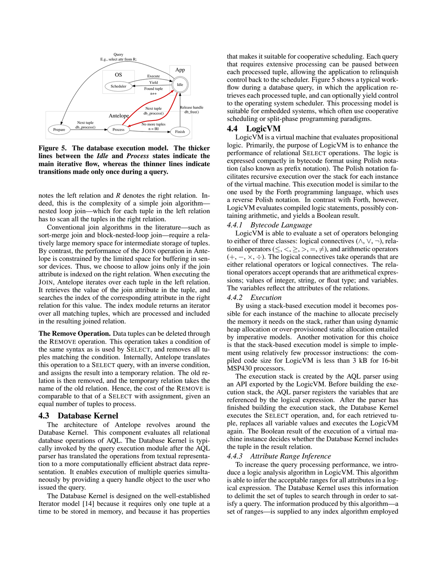

<span id="page-5-0"></span>Figure 5. The database execution model. The thicker lines between the *Idle* and *Process* states indicate the main iterative flow, whereas the thinner lines indicate transitions made only once during a query.

notes the left relation and *R* denotes the right relation. Indeed, this is the complexity of a simple join algorithm nested loop join—which for each tuple in the left relation has to scan all the tuples in the right relation.

Conventional join algorithms in the literature—such as sort-merge join and block-nested-loop join—require a relatively large memory space for intermediate storage of tuples. By contrast, the performance of the JOIN operation in Antelope is constrained by the limited space for buffering in sensor devices. Thus, we choose to allow joins only if the join attribute is indexed on the right relation. When executing the JOIN, Antelope iterates over each tuple in the left relation. It retrieves the value of the join attribute in the tuple, and searches the index of the corresponding attribute in the right relation for this value. The index module returns an iterator over all matching tuples, which are processed and included in the resulting joined relation.

The Remove Operation. Data tuples can be deleted through the REMOVE operation. This operation takes a condition of the same syntax as is used by SELECT, and removes all tuples matching the condition. Internally, Antelope translates this operation to a SELECT query, with an inverse condition, and assigns the result into a temporary relation. The old relation is then removed, and the temporary relation takes the name of the old relation. Hence, the cost of the REMOVE is comparable to that of a SELECT with assignment, given an equal number of tuples to process.

# 4.3 Database Kernel

The architecture of Antelope revolves around the Database Kernel. This component evaluates all relational database operations of AQL. The Database Kernel is typically invoked by the query execution module after the AQL parser has translated the operations from textual representation to a more computationally efficient abstract data representation. It enables execution of multiple queries simultaneously by providing a query handle object to the user who issued the query.

The Database Kernel is designed on the well-established Iterator model [\[14\]](#page-13-20) because it requires only one tuple at a time to be stored in memory, and because it has properties

that makes it suitable for cooperative scheduling. Each query that requires extensive processing can be paused between each processed tuple, allowing the application to relinquish control back to the scheduler. Figure [5](#page-5-0) shows a typical workflow during a database query, in which the application retrieves each processed tuple, and can optionally yield control to the operating system scheduler. This processing model is suitable for embedded systems, which often use cooperative scheduling or split-phase programming paradigms.

# 4.4 LogicVM

LogicVM is a virtual machine that evaluates propositional logic. Primarily, the purpose of LogicVM is to enhance the performance of relational SELECT operations. The logic is expressed compactly in bytecode format using Polish notation (also known as prefix notation). The Polish notation facilitates recursive execution over the stack for each instance of the virtual machine. This execution model is similar to the one used by the Forth programming language, which uses a reverse Polish notation. In contrast with Forth, however, LogicVM evaluates compiled logic statements, possibly containing arithmetic, and yields a Boolean result.

### *4.4.1 Bytecode Language*

LogicVM is able to evaluate a set of operators belonging to either of three classes: logical connectives  $(\wedge, \vee, \neg)$ , relational operators  $(\leq, <, \geq, >, =, \neq)$ , and arithmetic operators  $(+, -, \times, \div)$ . The logical connectives take operands that are either relational operators or logical connectives. The relational operators accept operands that are arithmetical expressions; values of integer, string, or float type; and variables. The variables reflect the attributes of the relations.

#### *4.4.2 Execution*

By using a stack-based execution model it becomes possible for each instance of the machine to allocate precisely the memory it needs on the stack, rather than using dynamic heap allocation or over-provisioned static allocation entailed by imperative models. Another motivation for this choice is that the stack-based execution model is simple to implement using relatively few processor instructions: the compiled code size for LogicVM is less than 3 kB for 16-bit MSP430 processors.

The execution stack is created by the AQL parser using an API exported by the LogicVM. Before building the execution stack, the AQL parser registers the variables that are referenced by the logical expression. After the parser has finished building the execution stack, the Database Kernel executes the SELECT operation, and, for each retrieved tuple, replaces all variable values and executes the LogicVM again. The Boolean result of the execution of a virtual machine instance decides whether the Database Kernel includes the tuple in the result relation.

#### *4.4.3 Attribute Range Inference*

To increase the query processing performance, we introduce a logic analysis algorithm in LogicVM. This algorithm is able to infer the acceptable ranges for all attributes in a logical expression. The Database Kernel uses this information to delimit the set of tuples to search through in order to satisfy a query. The information produced by this algorithm—a set of ranges—is supplied to any index algorithm employed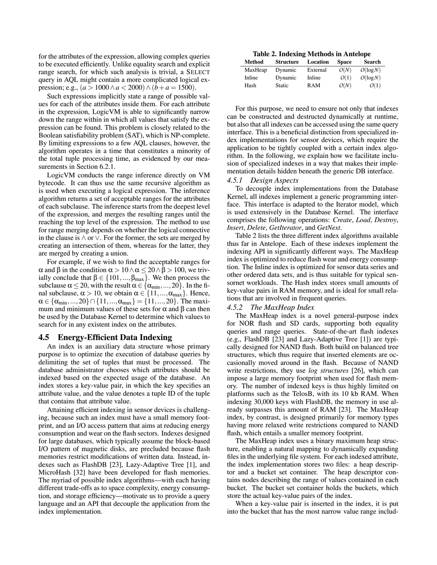for the attributes of the expression, allowing complex queries to be executed efficiently. Unlike equality search and explicit range search, for which such analysis is trivial, a SELECT query in AQL might contain a more complicated logical expression; e.g.,  $(a > 1000 \land a < 2000) \land (b + a = 1500)$ .

Such expressions implicitly state a range of possible values for each of the attributes inside them. For each attribute in the expression, LogicVM is able to significantly narrow down the range within in which all values that satisfy the expression can be found. This problem is closely related to the Boolean satisfiability problem (SAT), which is NP-complete. By limiting expressions to a few AQL clauses, however, the algorithm operates in a time that constitutes a minority of the total tuple processing time, as evidenced by our measurements in Section [6.2.1.](#page-9-0)

LogicVM conducts the range inference directly on VM bytecode. It can thus use the same recursive algorithm as is used when executing a logical expression. The inference algorithm returns a set of acceptable ranges for the attributes of each subclause. The inference starts from the deepest level of the expression, and merges the resulting ranges until the reaching the top level of the expression. The method to use for range merging depends on whether the logical connective in the clause is ∧ or ∨. For the former, the sets are merged by creating an intersection of them, whereas for the latter, they are merged by creating a union.

For example, if we wish to find the acceptable ranges for α and β in the condition  $\alpha > 10 \land \alpha \leq 20 \land \beta > 100$ , we trivially conclude that  $\beta \in \{101, ..., \beta_{max}\}$ . We then process the subclause  $\alpha \le 20$ , with the result  $\alpha \in {\alpha_{\min}, \ldots, 20}$ . In the final subclause,  $\alpha > 10$ , we obtain  $\alpha \in \{11, ..., \alpha_{\text{max}}\}$ . Hence,  $\alpha \in {\{\alpha_{\min}, ..., 20\}} \cap {11, ..., \alpha_{\max}} = {11, ..., 20}$ . The maximum and minimum values of these sets for  $\alpha$  and  $\beta$  can then be used by the Database Kernel to determine which values to search for in any existent index on the attributes.

# 4.5 Energy-Efficient Data Indexing

An index is an auxiliary data structure whose primary purpose is to optimize the execution of database queries by delimiting the set of tuples that must be processed. The database administrator chooses which attributes should be indexed based on the expected usage of the database. An index stores a key-value pair, in which the key specifies an attribute value, and the value denotes a tuple ID of the tuple that contains that attribute value.

Attaining efficient indexing in sensor devices is challenging, because such an index must have a small memory footprint, and an I/O access pattern that aims at reducing energy consumption and wear on the flash sectors. Indexes designed for large databases, which typically assume the block-based I/O pattern of magnetic disks, are precluded because flash memories restrict modifications of written data. Instead, indexes such as FlashDB [\[23\]](#page-13-15), Lazy-Adaptive Tree [\[1\]](#page-13-21), and MicroHash [\[32\]](#page-13-22) have been developed for flash memories. The myriad of possible index algorithms—with each having different trade-offs as to space complexity, energy consumption, and storage efficiency—motivate us to provide a query language and an API that decouple the application from the index implementation.

Table 2. Indexing Methods in Antelope

<span id="page-6-0"></span>

| <b>Structure</b> | Location   | <b>Space</b> | <b>Search</b> |
|------------------|------------|--------------|---------------|
| Dynamic          | External   | O(N)         | O(log N)      |
| Dynamic          | Inline     | O(1)         | O(log N)      |
| <b>Static</b>    | <b>RAM</b> | O(N)         | O(1)          |
|                  |            |              |               |

For this purpose, we need to ensure not only that indexes can be constructed and destructed dynamically at runtime, but also that all indexes can be accessed using the same query interface. This is a beneficial distinction from specialized index implementations for sensor devices, which require the application to be tightly coupled with a certain index algorithm. In the following, we explain how we facilitate inclusion of specialized indexes in a way that makes their implementation details hidden beneath the generic DB interface.

### *4.5.1 Design Aspects*

To decouple index implementations from the Database Kernel, all indexes implement a generic programming interface. This interface is adapted to the Iterator model, which is used extensively in the Database Kernel. The interface comprises the following operations: *Create*, *Load*, *Destroy*, *Insert*, *Delete*, *GetIterator*, and *GetNext*.

Table [2](#page-6-0) lists the three different index algorithms available thus far in Antelope. Each of these indexes implement the indexing API in significantly different ways. The MaxHeap index is optimized to reduce flash wear and energy consumption. The Inline index is optimized for sensor data series and other ordered data sets, and is thus suitable for typical sensornet workloads. The Hash index stores small amounts of key-value pairs in RAM memory, and is ideal for small relations that are involved in frequent queries.

# *4.5.2 The MaxHeap Index*

The MaxHeap index is a novel general-purpose index for NOR flash and SD cards, supporting both equality queries and range queries. State-of-the-art flash indexes (e.g., FlashDB [\[23\]](#page-13-15) and Lazy-Adaptive Tree [\[1\]](#page-13-21)) are typically designed for NAND flash. Both build on balanced tree structures, which thus require that inserted elements are occasionally moved around in the flash. Because of NAND write restrictions, they use *log structures* [\[26\]](#page-13-23), which can impose a large memory footprint when used for flash memory. The number of indexed keys is thus highly limited on platforms such as the TelosB, with its 10 kb RAM. When indexing 30,000 keys with FlashDB, the memory in use already surpasses this amount of RAM [\[23\]](#page-13-15). The MaxHeap index, by contrast, is designed primarily for memory types having more relaxed write restrictions compared to NAND flash, which entails a smaller memory footprint.

The MaxHeap index uses a binary maximum heap structure, enabling a natural mapping to dynamically expanding files in the underlying file system. For each indexed attribute, the index implementation stores two files: a heap descriptor and a bucket set container. The heap descriptor contains nodes describing the range of values contained in each bucket. The bucket set container holds the buckets, which store the actual key-value pairs of the index.

When a key-value pair is inserted in the index, it is put into the bucket that has the most narrow value range includ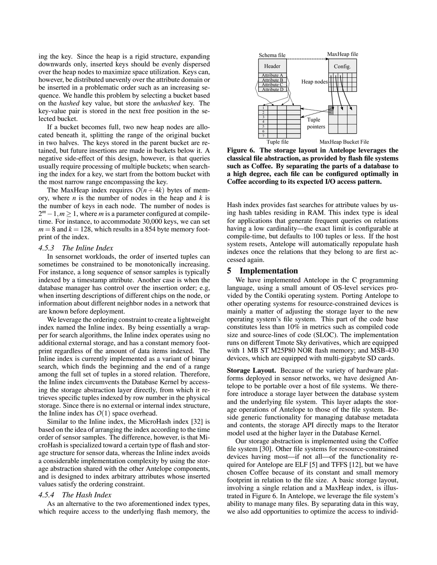ing the key. Since the heap is a rigid structure, expanding downwards only, inserted keys should be evenly dispersed over the heap nodes to maximize space utilization. Keys can, however, be distributed unevenly over the attribute domain or be inserted in a problematic order such as an increasing sequence. We handle this problem by selecting a bucket based on the *hashed* key value, but store the *unhashed* key. The key-value pair is stored in the next free position in the selected bucket.

If a bucket becomes full, two new heap nodes are allocated beneath it, splitting the range of the original bucket in two halves. The keys stored in the parent bucket are retained, but future insertions are made in buckets below it. A negative side-effect of this design, however, is that queries usually require processing of multiple buckets; when searching the index for a key, we start from the bottom bucket with the most narrow range encompassing the key.

The MaxHeap index requires  $O(n+4k)$  bytes of memory, where *n* is the number of nodes in the heap and *k* is the number of keys in each node. The number of nodes is 2<sup>*m*</sup> − 1, *m* ≥ 1, where *m* is a parameter configured at compiletime. For instance, to accommodate 30,000 keys, we can set  $m = 8$  and  $k = 128$ , which results in a 854 byte memory footprint of the index.

### *4.5.3 The Inline Index*

In sensornet workloads, the order of inserted tuples can sometimes be constrained to be monotonically increasing. For instance, a long sequence of sensor samples is typically indexed by a timestamp attribute. Another case is when the database manager has control over the insertion order; e.g, when inserting descriptions of different chips on the node, or information about different neighbor nodes in a network that are known before deployment.

We leverage the ordering constraint to create a lightweight index named the Inline index. By being essentially a wrapper for search algorithms, the Inline index operates using no additional external storage, and has a constant memory footprint regardless of the amount of data items indexed. The Inline index is currently implemented as a variant of binary search, which finds the beginning and the end of a range among the full set of tuples in a stored relation. Therefore, the Inline index circumvents the Database Kernel by accessing the storage abstraction layer directly, from which it retrieves specific tuples indexed by row number in the physical storage. Since there is no external or internal index structure, the Inline index has  $O(1)$  space overhead.

Similar to the Inline index, the MicroHash index [\[32\]](#page-13-22) is based on the idea of arranging the index according to the time order of sensor samples. The difference, however, is that MicroHash is specialized toward a certain type of flash and storage structure for sensor data, whereas the Inline index avoids a considerable implementation complexity by using the storage abstraction shared with the other Antelope components, and is designed to index arbitrary attributes whose inserted values satisfy the ordering constraint.

### *4.5.4 The Hash Index*

As an alternative to the two aforementioned index types, which require access to the underlying flash memory, the



<span id="page-7-0"></span>Figure 6. The storage layout in Antelope leverages the classical file abstraction, as provided by flash file systems such as Coffee. By separating the parts of a database to a high degree, each file can be configured optimally in Coffee according to its expected I/O access pattern.

Hash index provides fast searches for attribute values by using hash tables residing in RAM. This index type is ideal for applications that generate frequent queries on relations having a low cardinality—the exact limit is configurable at compile-time, but defaults to 100 tuples or less. If the host system resets, Antelope will automatically repopulate hash indexes once the relations that they belong to are first accessed again.

#### 5 Implementation

We have implemented Antelope in the C programming language, using a small amount of OS-level services provided by the Contiki operating system. Porting Antelope to other operating systems for resource-constrained devices is mainly a matter of adjusting the storage layer to the new operating system's file system. This part of the code base constitutes less than 10% in metrics such as compiled code size and source-lines of code (SLOC). The implementation runs on different Tmote Sky derivatives, which are equipped with 1 MB ST M25P80 NOR flash memory; and MSB-430 devices, which are equipped with multi-gigabyte SD cards.

Storage Layout. Because of the variety of hardware platforms deployed in sensor networks, we have designed Antelope to be portable over a host of file systems. We therefore introduce a storage layer between the database system and the underlying file system. This layer adapts the storage operations of Antelope to those of the file system. Beside generic functionality for managing database metadata and contents, the storage API directly maps to the Iterator model used at the higher layer in the Database Kernel.

Our storage abstraction is implemented using the Coffee file system [\[30\]](#page-13-13). Other file systems for resource-constrained devices having most—if not all—of the functionality required for Antelope are ELF [\[5\]](#page-13-12) and TFFS [\[12\]](#page-13-24), but we have chosen Coffee because of its constant and small memory footprint in relation to the file size. A basic storage layout, involving a single relation and a MaxHeap index, is illustrated in Figure [6.](#page-7-0) In Antelope, we leverage the file system's ability to manage many files. By separating data in this way, we also add opportunities to optimize the access to individ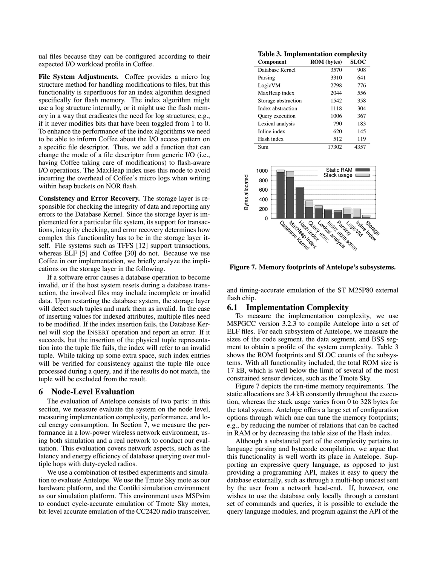ual files because they can be configured according to their expected I/O workload profile in Coffee.

File System Adjustments. Coffee provides a micro log structure method for handling modifications to files, but this functionality is superfluous for an index algorithm designed specifically for flash memory. The index algorithm might use a log structure internally, or it might use the flash memory in a way that eradicates the need for log structures; e.g., if it never modifies bits that have been toggled from 1 to 0. To enhance the performance of the index algorithms we need to be able to inform Coffee about the I/O access pattern on a specific file descriptor. Thus, we add a function that can change the mode of a file descriptor from generic I/O (i.e., having Coffee taking care of modifications) to flash-aware I/O operations. The MaxHeap index uses this mode to avoid incurring the overhead of Coffee's micro logs when writing within heap buckets on NOR flash.

Consistency and Error Recovery. The storage layer is responsible for checking the integrity of data and reporting any errors to the Database Kernel. Since the storage layer is implemented for a particular file system, its support for transactions, integrity checking, and error recovery determines how complex this functionality has to be in the storage layer itself. File systems such as TFFS [\[12\]](#page-13-24) support transactions, whereas ELF [\[5\]](#page-13-12) and Coffee [\[30\]](#page-13-13) do not. Because we use Coffee in our implementation, we briefly analyze the implications on the storage layer in the following.

If a software error causes a database operation to become invalid, or if the host system resets during a database transaction, the involved files may include incomplete or invalid data. Upon restarting the database system, the storage layer will detect such tuples and mark them as invalid. In the case of inserting values for indexed attributes, multiple files need to be modified. If the index insertion fails, the Database Kernel will stop the INSERT operation and report an error. If it succeeds, but the insertion of the physical tuple representation into the tuple file fails, the index will refer to an invalid tuple. While taking up some extra space, such index entries will be verified for consistency against the tuple file once processed during a query, and if the results do not match, the tuple will be excluded from the result.

# 6 Node-Level Evaluation

The evaluation of Antelope consists of two parts: in this section, we measure evaluate the system on the node level, measuring implementation complexity, performance, and local energy consumption. In Section [7,](#page-10-0) we measure the performance in a low-power wireless network environment, using both simulation and a real network to conduct our evaluation. This evaluation covers network aspects, such as the latency and energy efficiency of database querying over multiple hops with duty-cycled radios.

We use a combination of testbed experiments and simulation to evaluate Antelope. We use the Tmote Sky mote as our hardware platform, and the Contiki simulation environment as our simulation platform. This environment uses MSPsim to conduct cycle-accurate emulation of Tmote Sky motes, bit-level accurate emulation of the CC2420 radio transceiver,

<span id="page-8-0"></span>Table 3. Implementation complexity

| <b>Component</b>    | <b>ROM</b> (bytes) | <b>SLOC</b> |
|---------------------|--------------------|-------------|
| Database Kernel     | 3570               | 908         |
| Parsing             | 3310               | 641         |
| LogicVM             | 2798               | 776         |
| MaxHeap index       | 2044               | 556         |
| Storage abstraction | 1542               | 358         |
| Index abstraction   | 1118               | 304         |
| Query execution     | 1006               | 367         |
| Lexical analysis    | 790                | 183         |
| Inline index        | 620                | 145         |
| Hash index          | 512                | 119         |
| Sum                 | 17302              | 4357        |



<span id="page-8-1"></span>Figure 7. Memory footprints of Antelope's subsystems.

and timing-accurate emulation of the ST M25P80 external flash chip.

# 6.1 Implementation Complexity

To measure the implementation complexity, we use MSPGCC version 3.2.3 to compile Antelope into a set of ELF files. For each subsystem of Antelope, we measure the sizes of the code segment, the data segment, and BSS segment to obtain a profile of the system complexity. Table [3](#page-8-0) shows the ROM footprints and SLOC counts of the subsystems. With all functionality included, the total ROM size is 17 kB, which is well below the limit of several of the most constrained sensor devices, such as the Tmote Sky.

Figure [7](#page-8-1) depicts the run-time memory requirements. The static allocations are 3.4 kB constantly throughout the execution, whereas the stack usage varies from 0 to 328 bytes for the total system. Antelope offers a large set of configuration options through which one can tune the memory footprints; e.g., by reducing the number of relations that can be cached in RAM or by decreasing the table size of the Hash index.

Although a substantial part of the complexity pertains to language parsing and bytecode compilation, we argue that this functionality is well worth its place in Antelope. Supporting an expressive query language, as opposed to just providing a programming API, makes it easy to query the database externally, such as through a multi-hop unicast sent by the user from a network head-end. If, however, one wishes to use the database only locally through a constant set of commands and queries, it is possible to exclude the query language modules, and program against the API of the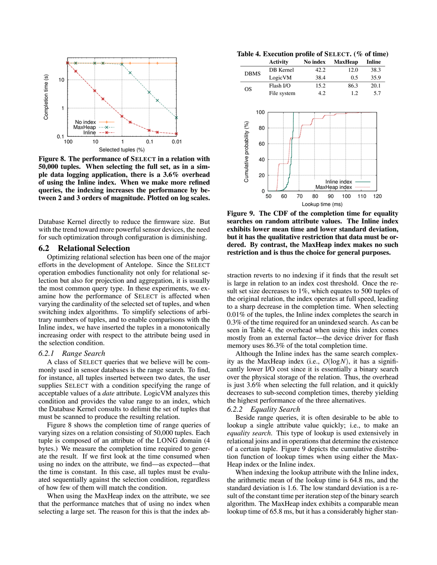

<span id="page-9-1"></span>Figure 8. The performance of SELECT in a relation with 50,000 tuples. When selecting the full set, as in a simple data logging application, there is a 3.6% overhead of using the Inline index. When we make more refined queries, the indexing increases the performance by between 2 and 3 orders of magnitude. Plotted on log scales.

Database Kernel directly to reduce the firmware size. But with the trend toward more powerful sensor devices, the need for such optimization through configuration is diminishing.

# 6.2 Relational Selection

Optimizing relational selection has been one of the major efforts in the development of Antelope. Since the SELECT operation embodies functionality not only for relational selection but also for projection and aggregation, it is usually the most common query type. In these experiments, we examine how the performance of SELECT is affected when varying the cardinality of the selected set of tuples, and when switching index algorithms. To simplify selections of arbitrary numbers of tuples, and to enable comparisons with the Inline index, we have inserted the tuples in a monotonically increasing order with respect to the attribute being used in the selection condition.

### <span id="page-9-0"></span>*6.2.1 Range Search*

A class of SELECT queries that we believe will be commonly used in sensor databases is the range search. To find, for instance, all tuples inserted between two dates, the user supplies SELECT with a condition specifying the range of acceptable values of a *date* attribute. LogicVM analyzes this condition and provides the value range to an index, which the Database Kernel consults to delimit the set of tuples that must be scanned to produce the resulting relation.

Figure [8](#page-9-1) shows the completion time of range queries of varying sizes on a relation consisting of 50,000 tuples. Each tuple is composed of an attribute of the LONG domain (4 bytes.) We measure the completion time required to generate the result. If we first look at the time consumed when using no index on the attribute, we find—as expected—that the time is constant. In this case, all tuples must be evaluated sequentially against the selection condition, regardless of how few of them will match the condition.

When using the MaxHeap index on the attribute, we see that the performance matches that of using no index when selecting a large set. The reason for this is that the index ab-

<span id="page-9-2"></span>Table 4. Execution profile of SELECT. (% of time)

|                            |                  | <b>Activity</b> | No index |          | <b>MaxHeap</b> |     | <b>Inline</b> |  |
|----------------------------|------------------|-----------------|----------|----------|----------------|-----|---------------|--|
| <b>DBMS</b>                |                  | DB Kernel       |          | 42.2     | 12.0           |     | 38.3          |  |
|                            |                  | LogicVM         |          | 38.4     |                | 0.5 | 35.9          |  |
| <b>OS</b>                  |                  | Flash I/O       |          | 15.2     | 86.3           |     | 20.1          |  |
|                            |                  | File system     |          | 4.2      |                | 1.2 | 5.7           |  |
|                            | 100              |                 |          |          |                |     |               |  |
|                            |                  |                 |          |          |                |     |               |  |
|                            | 80               |                 |          |          |                |     |               |  |
|                            |                  |                 |          |          |                |     |               |  |
|                            | 60               |                 |          |          |                |     |               |  |
| Cumulative probability (%) | 40               |                 |          |          |                |     |               |  |
|                            | 20               |                 |          |          | Inline index   |     |               |  |
|                            | 0                |                 |          |          | MaxHeap index  |     |               |  |
|                            |                  | 50<br>60        | 70       | 80<br>90 | 100            | 110 | 120           |  |
|                            | Lookup time (ms) |                 |          |          |                |     |               |  |

<span id="page-9-3"></span>Figure 9. The CDF of the completion time for equality searches on random attribute values. The Inline index exhibits lower mean time and lower standard deviation, but it has the qualitative restriction that data must be ordered. By contrast, the MaxHeap index makes no such restriction and is thus the choice for general purposes.

straction reverts to no indexing if it finds that the result set is large in relation to an index cost threshold. Once the result set size decreases to 1%, which equates to 500 tuples of the original relation, the index operates at full speed, leading to a sharp decrease in the completion time. When selecting 0.01% of the tuples, the Inline index completes the search in 0.3% of the time required for an unindexed search. As can be seen in Table [4,](#page-9-2) the overhead when using this index comes mostly from an external factor—the device driver for flash memory uses 86.3% of the total completion time.

Although the Inline index has the same search complexity as the MaxHeap index (i.e., *O*(log*N*), it has a significantly lower I/O cost since it is essentially a binary search over the physical storage of the relation. Thus, the overhead is just 3.6% when selecting the full relation, and it quickly decreases to sub-second completion times, thereby yielding the highest performance of the three alternatives.

# *6.2.2 Equality Search*

Beside range queries, it is often desirable to be able to lookup a single attribute value quickly; i.e., to make an *equality search*. This type of lookup is used extensively in relational joins and in operations that determine the existence of a certain tuple. Figure [9](#page-9-3) depicts the cumulative distribution function of lookup times when using either the Max-Heap index or the Inline index.

When indexing the lookup attribute with the Inline index, the arithmetic mean of the lookup time is 64.8 ms, and the standard deviation is 1.6. The low standard deviation is a result of the constant time per iteration step of the binary search algorithm. The MaxHeap index exhibits a comparable mean lookup time of 65.8 ms, but it has a considerably higher stan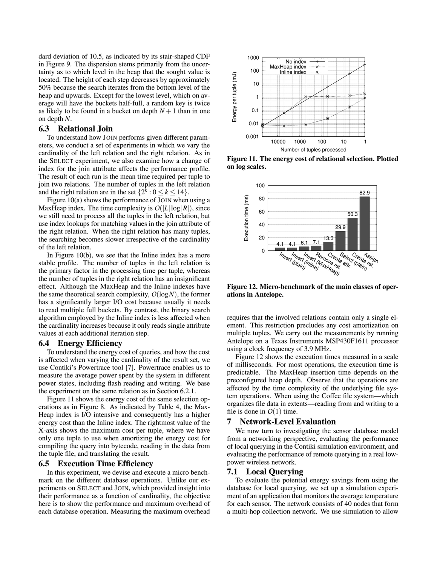dard deviation of 10.5, as indicated by its stair-shaped CDF in Figure [9.](#page-9-3) The dispersion stems primarily from the uncertainty as to which level in the heap that the sought value is located. The height of each step decreases by approximately 50% because the search iterates from the bottom level of the heap and upwards. Except for the lowest level, which on average will have the buckets half-full, a random key is twice as likely to be found in a bucket on depth  $N+1$  than in one on depth *N*.

# 6.3 Relational Join

To understand how JOIN performs given different parameters, we conduct a set of experiments in which we vary the cardinality of the left relation and the right relation. As in the SELECT experiment, we also examine how a change of index for the join attribute affects the performance profile. The result of each run is the mean time required per tuple to join two relations. The number of tuples in the left relation and the right relation are in the set  $\{2^k : 0 \le k \le 14\}.$ 

Figure [10\(a\)](#page-11-0) shows the performance of JOIN when using a MaxHeap index. The time complexity is  $O(|L|\log|R|)$ , since we still need to process all the tuples in the left relation, but use index lookups for matching values in the join attribute of the right relation. When the right relation has many tuples, the searching becomes slower irrespective of the cardinality of the left relation.

In Figure [10\(b\),](#page-11-1) we see that the Inline index has a more stable profile. The number of tuples in the left relation is the primary factor in the processing time per tuple, whereas the number of tuples in the right relation has an insignificant effect. Although the MaxHeap and the Inline indexes have the same theoretical search complexity,  $O(log N)$ , the former has a significantly larger I/O cost because usually it needs to read multiple full buckets. By contrast, the binary search algorithm employed by the Inline index is less affected when the cardinality increases because it only reads single attribute values at each additional iteration step.

### 6.4 Energy Efficiency

To understand the energy cost of queries, and how the cost is affected when varying the cardinality of the result set, we use Contiki's Powertrace tool [\[7\]](#page-13-25). Powertrace enables us to measure the average power spent by the system in different power states, including flash reading and writing. We base the experiment on the same relation as in Section [6.2.1.](#page-9-0)

Figure [11](#page-10-1) shows the energy cost of the same selection operations as in Figure [8.](#page-9-1) As indicated by Table [4,](#page-9-2) the Max-Heap index is I/O intensive and consequently has a higher energy cost than the Inline index. The rightmost value of the X-axis shows the maximum cost per tuple, where we have only one tuple to use when amortizing the energy cost for compiling the query into bytecode, reading in the data from the tuple file, and translating the result.

### 6.5 Execution Time Efficiency

In this experiment, we devise and execute a micro benchmark on the different database operations. Unlike our experiments on SELECT and JOIN, which provided insight into their performance as a function of cardinality, the objective here is to show the performance and maximum overhead of each database operation. Measuring the maximum overhead



<span id="page-10-1"></span>Figure 11. The energy cost of relational selection. Plotted on log scales.



<span id="page-10-2"></span>Figure 12. Micro-benchmark of the main classes of operations in Antelope.

requires that the involved relations contain only a single element. This restriction precludes any cost amortization on multiple tuples. We carry out the measurements by running Antelope on a Texas Instruments MSP430F1611 processor using a clock frequency of 3.9 MHz.

Figure [12](#page-10-2) shows the execution times measured in a scale of milliseconds. For most operations, the execution time is predictable. The MaxHeap insertion time depends on the preconfigured heap depth. Observe that the operations are affected by the time complexity of the underlying file system operations. When using the Coffee file system—which organizes file data in extents—reading from and writing to a file is done in  $O(1)$  time.

#### <span id="page-10-0"></span>7 Network-Level Evaluation

We now turn to investigating the sensor database model from a networking perspective, evaluating the performance of local querying in the Contiki simulation environment, and evaluating the performance of remote querying in a real lowpower wireless network.

### <span id="page-10-3"></span>7.1 Local Querying

To evaluate the potential energy savings from using the database for local querying, we set up a simulation experiment of an application that monitors the average temperature for each sensor. The network consists of 40 nodes that form a multi-hop collection network. We use simulation to allow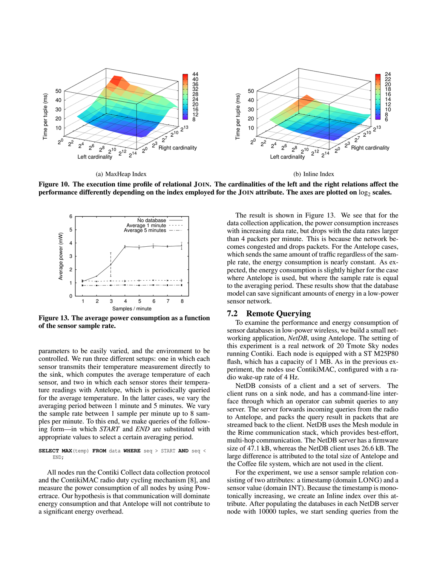<span id="page-11-0"></span>

Figure 10. The execution time profile of relational JOIN. The cardinalities of the left and the right relations affect the performance differently depending on the index employed for the JOIN attribute. The axes are plotted on  $\log_2$  scales.



<span id="page-11-2"></span>Figure 13. The average power consumption as a function of the sensor sample rate.

parameters to be easily varied, and the environment to be controlled. We run three different setups: one in which each sensor transmits their temperature measurement directly to the sink, which computes the average temperature of each sensor, and two in which each sensor stores their temperature readings with Antelope, which is periodically queried for the average temperature. In the latter cases, we vary the averaging period between 1 minute and 5 minutes. We vary the sample rate between 1 sample per minute up to 8 samples per minute. To this end, we make queries of the following form—in which *START* and *END* are substituted with appropriate values to select a certain averaging period.

**SELECT MAX**(temp) **FROM** data **WHERE** seq > START **AND** seq < END;

All nodes run the Contiki Collect data collection protocol and the ContikiMAC radio duty cycling mechanism [\[8\]](#page-13-9), and measure the power consumption of all nodes by using Powertrace. Our hypothesis is that communication will dominate energy consumption and that Antelope will not contribute to a significant energy overhead.

<span id="page-11-1"></span>The result is shown in Figure [13.](#page-11-2) We see that for the data collection application, the power consumption increases with increasing data rate, but drops with the data rates larger than 4 packets per minute. This is because the network becomes congested and drops packets. For the Antelope cases, which sends the same amount of traffic regardless of the sample rate, the energy consumption is nearly constant. As expected, the energy consumption is slightly higher for the case where Antelope is used, but where the sample rate is equal to the averaging period. These results show that the database model can save significant amounts of energy in a low-power sensor network.

# 7.2 Remote Querying

To examine the performance and energy consumption of sensor databases in low-power wireless, we build a small networking application, *NetDB*, using Antelope. The setting of this experiment is a real network of 20 Tmote Sky nodes running Contiki. Each node is equipped with a ST M25P80 flash, which has a capacity of 1 MB. As in the previous experiment, the nodes use ContikiMAC, configured with a radio wake-up rate of 4 Hz.

NetDB consists of a client and a set of servers. The client runs on a sink node, and has a command-line interface through which an operator can submit queries to any server. The server forwards incoming queries from the radio to Antelope, and packs the query result in packets that are streamed back to the client. NetDB uses the Mesh module in the Rime communication stack, which provides best-effort, multi-hop communication. The NetDB server has a firmware size of 47.1 kB, whereas the NetDB client uses 26.6 kB. The large difference is attributed to the total size of Antelope and the Coffee file system, which are not used in the client.

For the experiment, we use a sensor sample relation consisting of two attributes: a timestamp (domain LONG) and a sensor value (domain INT). Because the timestamp is monotonically increasing, we create an Inline index over this attribute. After populating the databases in each NetDB server node with 10000 tuples, we start sending queries from the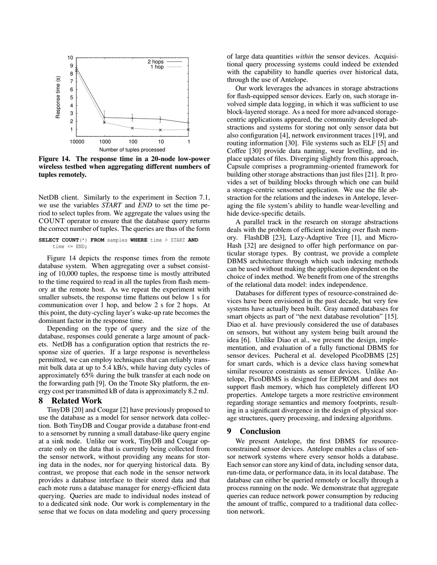

<span id="page-12-0"></span>Figure 14. The response time in a 20-node low-power wireless testbed when aggregating different numbers of tuples remotely.

NetDB client. Similarly to the experiment in Section [7.1,](#page-10-3) we use the variables *START* and *END* to set the time period to select tuples from. We aggregate the values using the COUNT operator to ensure that the database query returns the correct number of tuples. The queries are thus of the form

**SELECT COUNT**(\*) **FROM** samples **WHERE** time > START **AND** time <= END;

Figure [14](#page-12-0) depicts the response times from the remote database system. When aggregating over a subset consisting of 10,000 tuples, the response time is mostly attributed to the time required to read in all the tuples from flash memory at the remote host. As we repeat the experiment with smaller subsets, the response time flattens out below 1 s for communication over 1 hop, and below 2 s for 2 hops. At this point, the duty-cycling layer's wake-up rate becomes the dominant factor in the response time.

Depending on the type of query and the size of the database, responses could generate a large amount of packets. NetDB has a configuration option that restricts the response size of queries. If a large response is nevertheless permitted, we can employ techniques that can reliably transmit bulk data at up to 5.4 kB/s, while having duty cycles of approximately 65% during the bulk transfer at each node on the forwarding path [\[9\]](#page-13-26). On the Tmote Sky platform, the energy cost per transmitted kB of data is approximately 8.2 mJ.

### **Related Work**

TinyDB [\[20\]](#page-13-2) and Cougar [\[2\]](#page-13-3) have previously proposed to use the database as a model for sensor network data collection. Both TinyDB and Cougar provide a database front-end to a sensornet by running a small database-like query engine at a sink node. Unlike our work, TinyDB and Cougar operate only on the data that is currently being collected from the sensor network, without providing any means for storing data in the nodes, nor for querying historical data. By contrast, we propose that each node in the sensor network provides a database interface to their stored data and that each mote runs a database manager for energy-efficient data querying. Queries are made to individual nodes instead of to a dedicated sink node. Our work is complementary in the sense that we focus on data modeling and query processing

of large data quantities *within* the sensor devices. Acquisitional query processing systems could indeed be extended with the capability to handle queries over historical data, through the use of Antelope.

Our work leverages the advances in storage abstractions for flash-equipped sensor devices. Early on, such storage involved simple data logging, in which it was sufficient to use block-layered storage. As a need for more advanced storagecentric applications appeared, the community developed abstractions and systems for storing not only sensor data but also configuration [\[4\]](#page-13-27), network environment traces [\[19\]](#page-13-28), and routing information [\[30\]](#page-13-13). File systems such as ELF [\[5\]](#page-13-12) and Coffee [\[30\]](#page-13-13) provide data naming, wear levelling, and inplace updates of files. Diverging slightly from this approach, Capsule comprises a programming-oriented framework for building other storage abstractions than just files [\[21\]](#page-13-14). It provides a set of building blocks through which one can build a storage-centric sensornet application. We use the file abstraction for the relations and the indexes in Antelope, leveraging the file system's ability to handle wear-levelling and hide device-specific details.

A parallel track in the research on storage abstractions deals with the problem of efficient indexing over flash memory. FlashDB [\[23\]](#page-13-15), Lazy-Adaptive Tree [\[1\]](#page-13-21), and Micro-Hash [\[32\]](#page-13-22) are designed to offer high performance on particular storage types. By contrast, we provide a complete DBMS architecture through which such indexing methods can be used without making the application dependent on the choice of index method. We benefit from one of the strengths of the relational data model: index independence.

Databases for different types of resource-constrained devices have been envisioned in the past decade, but very few systems have actually been built. Gray named databases for smart objects as part of "the next database revolution" [\[15\]](#page-13-29). Diao et al. have previously considered the use of databases on sensors, but without any system being built around the idea [\[6\]](#page-13-30). Unlike Diao et al., we present the design, implementation, and evaluation of a fully functional DBMS for sensor devices. Pucheral et al. developed PicoDBMS [\[25\]](#page-13-31) for smart cards, which is a device class having somewhat similar resource constraints as sensor devices. Unlike Antelope, PicoDBMS is designed for EEPROM and does not support flash memory, which has completely different I/O properties. Antelope targets a more restrictive environment regarding storage semantics and memory footprints, resulting in a significant divergence in the design of physical storage structures, query processing, and indexing algorithms.

# 9 Conclusion

We present Antelope, the first DBMS for resourceconstrained sensor devices. Antelope enables a class of sensor network systems where every sensor holds a database. Each sensor can store any kind of data, including sensor data, run-time data, or performance data, in its local database. The database can either be queried remotely or locally through a process running on the node. We demonstrate that aggregate queries can reduce network power consumption by reducing the amount of traffic, compared to a traditional data collection network.